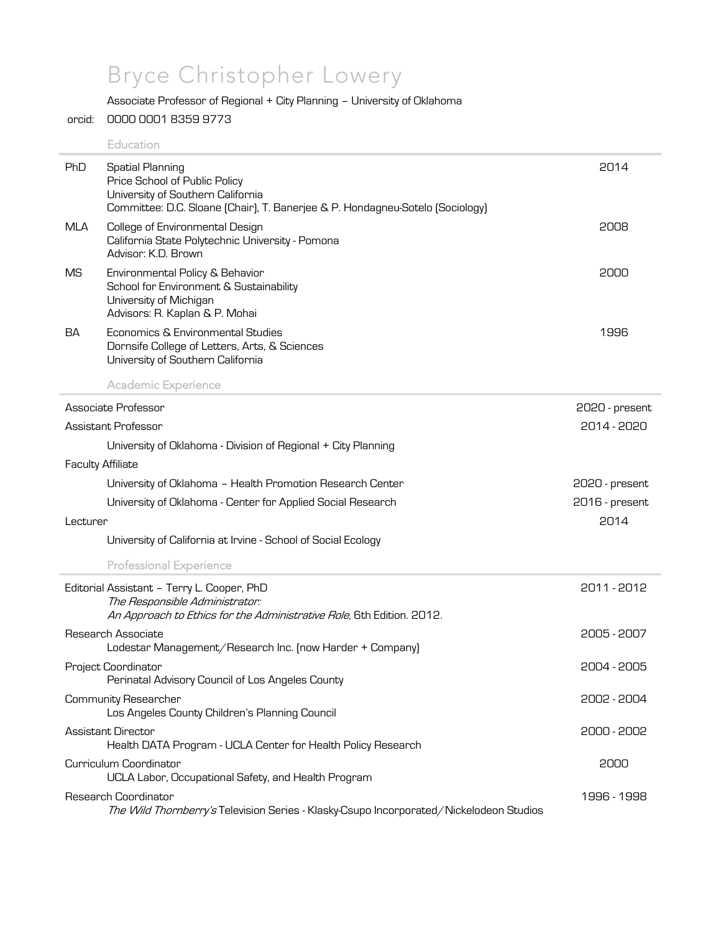# Bryce Christopher Lowery

# Associate Professor of Regional + City Planning – University of Oklahoma

#### orcid: 0000 0001 8359 9773

## **Education**

| PhD        | <b>Spatial Planning</b><br>Price School of Public Policy<br>University of Southern California<br>Committee: D.C. Sloane [Chair], T. Banerjee & P. Hondagneu-Sotelo [Sociology] | 2014           |
|------------|--------------------------------------------------------------------------------------------------------------------------------------------------------------------------------|----------------|
| <b>MLA</b> | College of Environmental Design<br>California State Polytechnic University - Pomona<br>Advisor: K.D. Brown                                                                     | 2008           |
| <b>MS</b>  | Environmental Policy & Behavior<br>School for Environment & Sustainability<br>University of Michigan<br>Advisors: R. Kaplan & P. Mohai                                         | 2000           |
| BA         | Economics & Environmental Studies<br>Dornsife College of Letters, Arts, & Sciences<br>University of Southern California<br><b>Academic Experience</b>                          | 1996           |
|            | Associate Professor                                                                                                                                                            | 2020 - present |
|            | Assistant Professor                                                                                                                                                            | 2014 - 2020    |
|            | University of Oklahoma - Division of Regional + City Planning                                                                                                                  |                |
|            | <b>Faculty Affiliate</b>                                                                                                                                                       |                |
|            | University of Oklahoma - Health Promotion Research Center                                                                                                                      | 2020 - present |
|            | University of Oklahoma - Center for Applied Social Research                                                                                                                    | 2016 - present |
| Lecturer   |                                                                                                                                                                                | 2014           |
|            | University of California at Irvine - School of Social Ecology                                                                                                                  |                |
|            | <b>Professional Experience</b>                                                                                                                                                 |                |
|            | Editorial Assistant - Terry L. Cooper, PhD                                                                                                                                     | 2011 - 2012    |
|            | The Responsible Administrator:<br>An Approach to Ethics for the Administrative Role, 6th Edition. 2012.                                                                        |                |
|            | Research Associate<br>Lodestar Management/Research Inc. (now Harder + Company)                                                                                                 | 2005 - 2007    |
|            | Project Coordinator<br>Perinatal Advisory Council of Los Angeles County                                                                                                        | 2004 - 2005    |
|            | Community Researcher<br>Los Angeles County Children's Planning Council                                                                                                         | 2002 - 2004    |
|            | <b>Assistant Director</b><br>Health DATA Program - UCLA Center for Health Policy Research                                                                                      | 2000 - 2002    |
|            | Curriculum Coordinator<br>UCLA Labor, Occupational Safety, and Health Program                                                                                                  | 2000           |
|            | Research Coordinator<br>The Wild Thomberry's Television Series - Klasky-Csupo Incorporated/Nickelodeon Studios                                                                 | 1996 - 1998    |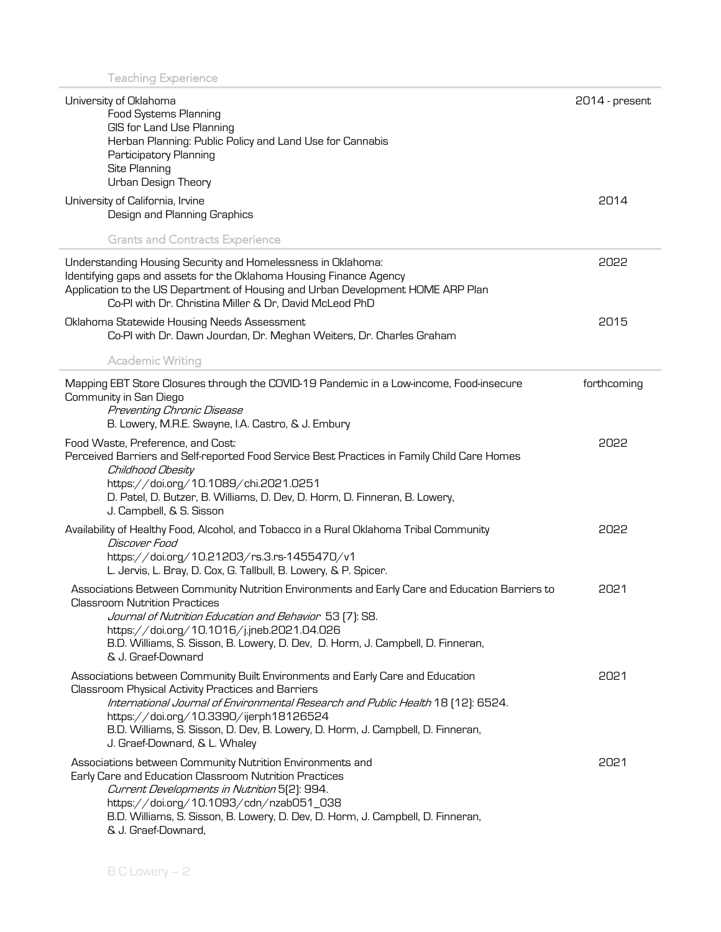| University of Oklahoma<br><b>Food Systems Planning</b><br>GIS for Land Use Planning<br>Herban Planning: Public Policy and Land Use for Cannabis<br>Participatory Planning<br>Site Planning<br>Urban Design Theory                                                                                                                                                                      | 2014 - present |
|----------------------------------------------------------------------------------------------------------------------------------------------------------------------------------------------------------------------------------------------------------------------------------------------------------------------------------------------------------------------------------------|----------------|
| University of California, Irvine<br>Design and Planning Graphics                                                                                                                                                                                                                                                                                                                       | 2014           |
| <b>Grants and Contracts Experience</b>                                                                                                                                                                                                                                                                                                                                                 |                |
| Understanding Housing Security and Homelessness in Oklahoma:<br>Identifying gaps and assets for the Oklahoma Housing Finance Agency<br>Application to the US Department of Housing and Urban Development HOME ARP Plan<br>Co-PI with Dr. Christina Miller & Dr, David McLeod PhD                                                                                                       | 2022           |
| Oklahoma Statewide Housing Needs Assessment<br>Co-PI with Dr. Dawn Jourdan, Dr. Meghan Weiters, Dr. Charles Graham                                                                                                                                                                                                                                                                     | 2015           |
| <b>Academic Writing</b>                                                                                                                                                                                                                                                                                                                                                                |                |
| Mapping EBT Store Closures through the COVID-19 Pandemic in a Low-income, Food-insecure<br>Community in San Diego<br>Preventing Chronic Disease<br>B. Lowery, M.R.E. Swayne, I.A. Castro, & J. Embury                                                                                                                                                                                  | forthcoming    |
| Food Waste, Preference, and Cost:<br>Perceived Barriers and Self-reported Food Service Best Practices in Family Child Care Homes<br>Childhood Obesity<br>https://doi.org/10.1089/chi.2021.0251<br>D. Patel, D. Butzer, B. Williams, D. Dev, D. Horm, D. Finneran, B. Lowery,<br>J. Campbell, & S. Sisson                                                                               | 5055           |
| Availability of Healthy Food, Alcohol, and Tobacco in a Rural Oklahoma Tribal Community<br>Discover Food<br>https://doi.org/10.21203/rs.3.rs-1455470/v1<br>L. Jervis, L. Bray, D. Cox, G. Tallbull, B. Lowery, & P. Spicer.                                                                                                                                                            | 5055           |
| Associations Between Community Nutrition Environments and Early Care and Education Barriers to<br><b>Classroom Nutrition Practices</b><br>Journal of Nutrition Education and Behavior 53 [7]: S8.<br>https://doi.org/10.1016/j.jneb.2021.04.026<br>B.D. Williams, S. Sisson, B. Lowery, D. Dev, D. Horm, J. Campbell, D. Finneran,<br>& J. Graef-Downard                               | 2021           |
| Associations between Community Built Environments and Early Care and Education<br>Classroom Physical Activity Practices and Barriers<br>International Journal of Environmental Research and Public Health 18 [12]: 6524.<br>https://doi.org/10.3390/ijerph18126524<br>B.D. Williams, S. Sisson, D. Dev, B. Lowery, D. Horm, J. Campbell, D. Finneran,<br>J. Graef-Downard, & L. Whaley | 2021           |
| Associations between Community Nutrition Environments and<br>Early Care and Education Classroom Nutrition Practices<br>Current Developments in Nutrition 5[2]: 994.<br>https://doi.org/10.1093/cdn/nzab051_038<br>B.D. Williams, S. Sisson, B. Lowery, D. Dev, D. Horm, J. Campbell, D. Finneran,<br>& J. Graef-Downard,                                                               | 2021           |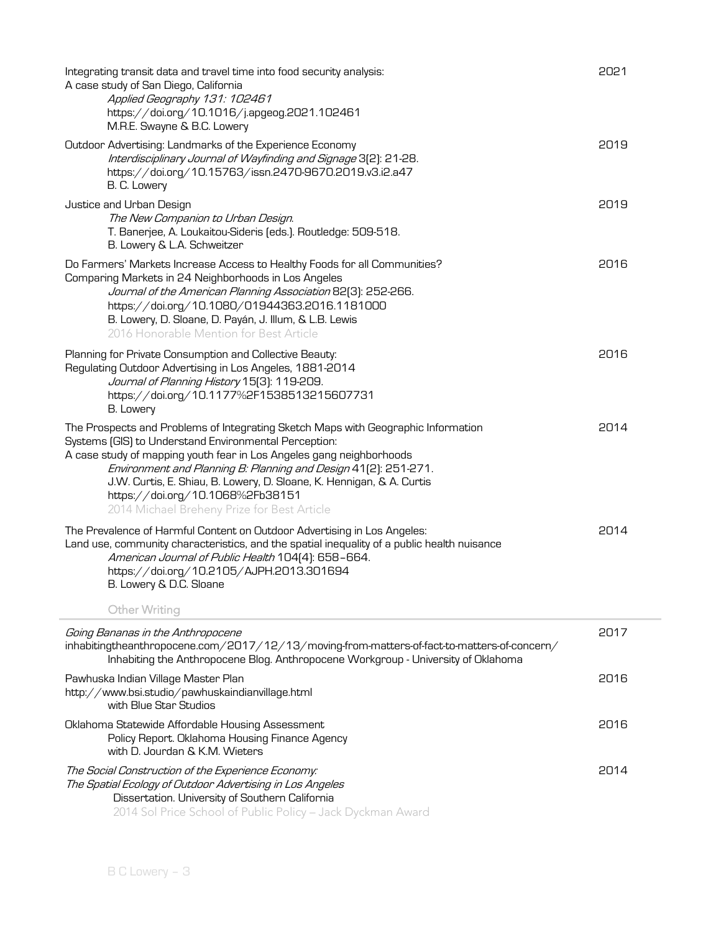| Integrating transit data and travel time into food security analysis:<br>A case study of San Diego, California<br>Applied Geography 131: 102461<br>https://doi.org/10.1016/j.apgeog.2021.102461<br>M.R.E. Swayne & B.C. Lowery                                                                                                                                                                                                                    | 2021 |
|---------------------------------------------------------------------------------------------------------------------------------------------------------------------------------------------------------------------------------------------------------------------------------------------------------------------------------------------------------------------------------------------------------------------------------------------------|------|
| Outdoor Advertising: Landmarks of the Experience Economy<br>Interdisciplinary Journal of Wayfinding and Signage 3[2]: 21-28.<br>https://doi.org/10.15763/issn.2470-9670.2019.v3.i2.a47<br>B. C. Lowery                                                                                                                                                                                                                                            | 2019 |
| Justice and Urban Design<br>The New Companion to Urban Design.<br>T. Banerjee, A. Loukaitou-Sideris (eds.). Routledge: 509-518.<br>B. Lowery & L.A. Schweitzer                                                                                                                                                                                                                                                                                    | 2019 |
| Do Farmers' Markets Increase Access to Healthy Foods for all Communities?<br>Comparing Markets in 24 Neighborhoods in Los Angeles<br>Journal of the American Planning Association 82[3]: 252-266.<br>https://doi.org/10.1080/01944363.2016.1181000<br>B. Lowery, D. Sloane, D. Payán, J. Illum, & L.B. Lewis<br>2016 Honorable Mention for Best Article                                                                                           | 2016 |
| Planning for Private Consumption and Collective Beauty:<br>Regulating Outdoor Advertising in Los Angeles, 1881-2014<br>Journal of Planning History 15[3]: 119-209.<br>https://doi.org/10.1177%2F1538513215607731<br>B. Lowery                                                                                                                                                                                                                     | 2016 |
| The Prospects and Problems of Integrating Sketch Maps with Geographic Information<br>Systems [GIS] to Understand Environmental Perception:<br>A case study of mapping youth fear in Los Angeles gang neighborhoods<br>Environment and Planning B: Planning and Design 41(2): 251-271.<br>J.W. Curtis, E. Shiau, B. Lowery, D. Sloane, K. Hennigan, & A. Curtis<br>https://doi.org/10.1068%2Fb38151<br>2014 Michael Breheny Prize for Best Article | 2014 |
| The Prevalence of Harmful Content on Outdoor Advertising in Los Angeles:<br>Land use, community characteristics, and the spatial inequality of a public health nuisance<br>American Journal of Public Health 104[4]: 658-664.<br>https://doi.org/10.2105/AJPH.2013.301694<br>B. Lowery & D.C. Sloane<br><b>Other Writing</b>                                                                                                                      | 2014 |
| Going Bananas in the Anthropocene<br>inhabitingtheanthropocene.com/2017/12/13/moving-from-matters-of-fact-to-matters-of-concern/<br>Inhabiting the Anthropocene Blog. Anthropocene Workgroup - University of Oklahoma                                                                                                                                                                                                                             | 2017 |
| Pawhuska Indian Village Master Plan<br>http://www.bsi.studio/pawhuskaindianvillage.html<br>with Blue Star Studios                                                                                                                                                                                                                                                                                                                                 | 2016 |
| Oklahoma Statewide Affordable Housing Assessment<br>Policy Report. Oklahoma Housing Finance Agency<br>with D. Jourdan & K.M. Wieters                                                                                                                                                                                                                                                                                                              | 2016 |
| The Social Construction of the Experience Economy:<br>The Spatial Ecology of Outdoor Advertising in Los Angeles<br>Dissertation. University of Southern California<br>2014 Sol Price School of Public Policy - Jack Dyckman Award                                                                                                                                                                                                                 | 2014 |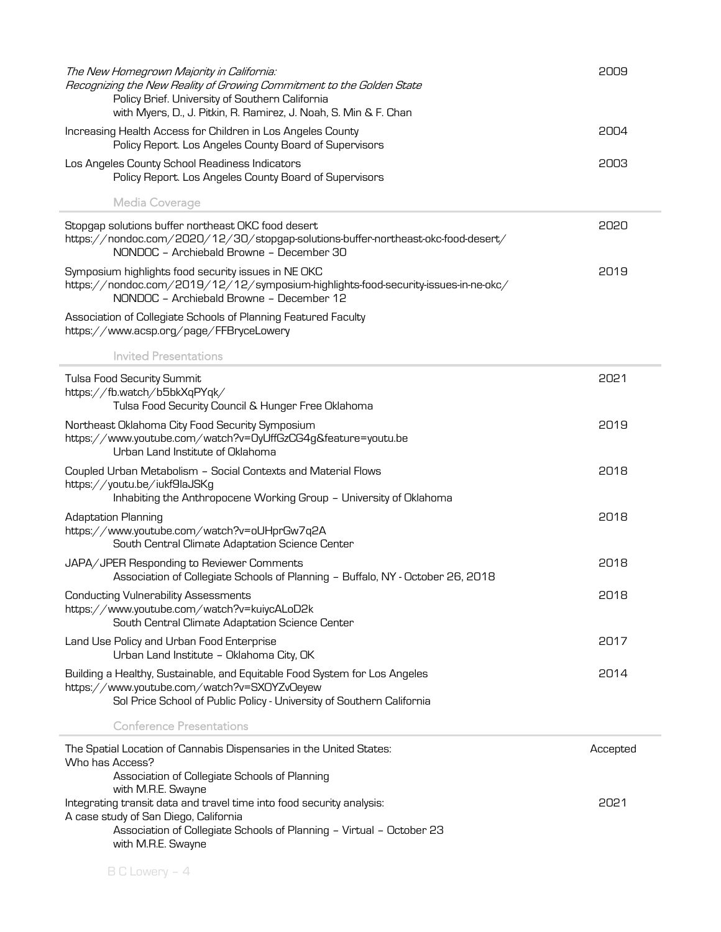| The New Homegrown Majority in California:<br>Recognizing the New Reality of Growing Commitment to the Golden State<br>Policy Brief. University of Southern California<br>with Myers, D., J. Pitkin, R. Ramirez, J. Noah, S. Min & F. Chan | 2009     |
|-------------------------------------------------------------------------------------------------------------------------------------------------------------------------------------------------------------------------------------------|----------|
| Increasing Health Access for Children in Los Angeles County<br>Policy Report. Los Angeles County Board of Supervisors                                                                                                                     | 2004     |
| Los Angeles County School Readiness Indicators<br>Policy Report. Los Angeles County Board of Supervisors                                                                                                                                  | 2003     |
| Media Coverage                                                                                                                                                                                                                            |          |
| Stopgap solutions buffer northeast OKC food desert<br>https://nondoc.com/2020/12/30/stopgap-solutions-buffer-northeast-okc-food-desert/<br>NONDOC - Archiebald Browne - December 30                                                       | 2020     |
| Symposium highlights food security issues in NE OKC<br>https://nondoc.com/2019/12/12/symposium-highlights-food-security-issues-in-ne-okc/<br>NONDOC - Archiebald Browne - December 12                                                     | 2019     |
| Association of Collegiate Schools of Planning Featured Faculty<br>https://www.acsp.org/page/FFBryceLowery                                                                                                                                 |          |
| <b>Invited Presentations</b>                                                                                                                                                                                                              |          |
| Tulsa Food Security Summit<br>https://fb.watch/b5bkXqPYqk/<br>Tulsa Food Security Council & Hunger Free Oklahoma                                                                                                                          | 2021     |
| Northeast Oklahoma City Food Security Symposium<br>https://www.youtube.com/watch?v=OyUffGzCG4g&feature=youtu.be<br>Urban Land Institute of Oklahoma                                                                                       | 2019     |
| Coupled Urban Metabolism - Social Contexts and Material Flows<br>https://youtu.be/iukf9laJSKg<br>Inhabiting the Anthropocene Working Group - University of Oklahoma                                                                       | 2018     |
| <b>Adaptation Planning</b><br>https://www.youtube.com/watch?v=oUHprGw7q2A<br>South Central Climate Adaptation Science Center                                                                                                              | 2018     |
| JAPA/JPER Responding to Reviewer Comments<br>Association of Collegiate Schools of Planning - Buffalo, NY - October 26, 2018                                                                                                               | 2018     |
| <b>Conducting Vulnerability Assessments</b><br>https://www.youtube.com/watch?v=kuiycALoD2k<br>South Central Climate Adaptation Science Center                                                                                             | 2018     |
| Land Use Policy and Urban Food Enterprise<br>Urban Land Institute - Oklahoma City, OK                                                                                                                                                     | 2017     |
| Building a Healthy, Sustainable, and Equitable Food System for Los Angeles<br>https://www.youtube.com/watch?v=SXOYZvOeyew<br>Sol Price School of Public Policy - University of Southern California                                        | 2014     |
| <b>Conference Presentations</b>                                                                                                                                                                                                           |          |
| The Spatial Location of Cannabis Dispensaries in the United States:<br>Who has Access?                                                                                                                                                    | Accepted |
| Association of Collegiate Schools of Planning<br>with M.R.E. Swayne                                                                                                                                                                       |          |
| Integrating transit data and travel time into food security analysis:<br>A case study of San Diego, California                                                                                                                            | 2021     |
| Association of Collegiate Schools of Planning - Virtual - October 23<br>with M.R.E. Swayne                                                                                                                                                |          |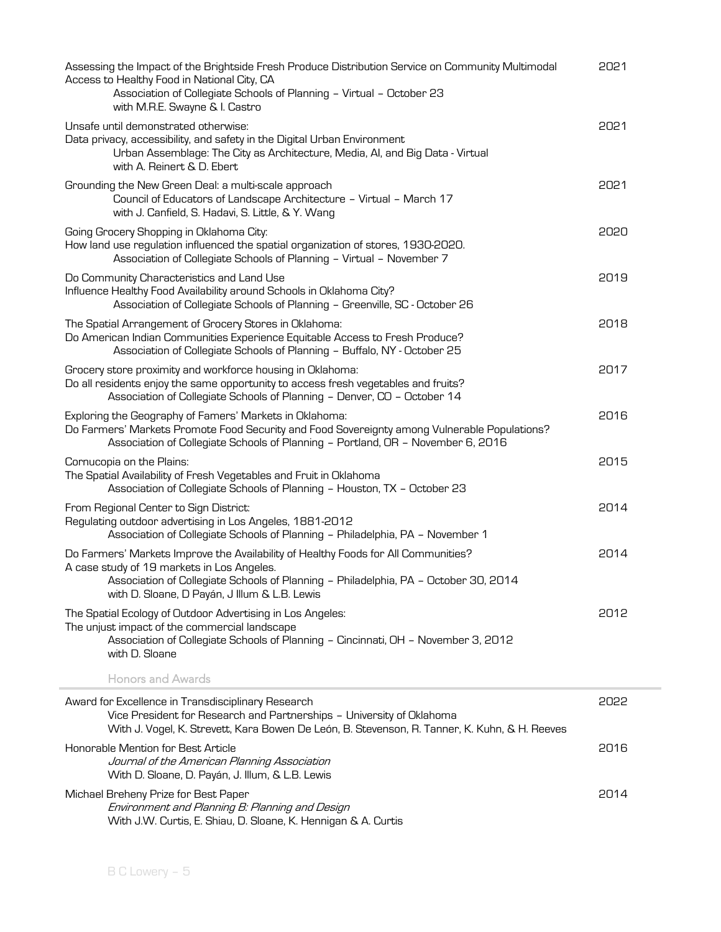| Assessing the Impact of the Brightside Fresh Produce Distribution Service on Community Multimodal<br>Access to Healthy Food in National City, CA<br>Association of Collegiate Schools of Planning - Virtual - October 23<br>with M.R.E. Swayne & I. Castro               | 2021 |
|--------------------------------------------------------------------------------------------------------------------------------------------------------------------------------------------------------------------------------------------------------------------------|------|
| Unsafe until demonstrated otherwise:<br>Data privacy, accessibility, and safety in the Digital Urban Environment<br>Urban Assemblage: The City as Architecture, Media, Al, and Big Data - Virtual<br>with A. Reinert & D. Ebert                                          | 2021 |
| Grounding the New Green Deal: a multi-scale approach<br>Council of Educators of Landscape Architecture - Virtual - March 17<br>with J. Canfield, S. Hadavi, S. Little, & Y. Wang                                                                                         | 2021 |
| Going Grocery Shopping in Oklahoma City:<br>How land use regulation influenced the spatial organization of stores, 1930-2020.<br>Association of Collegiate Schools of Planning - Virtual - November 7                                                                    | 2020 |
| Do Community Characteristics and Land Use<br>Influence Healthy Food Availability around Schools in Oklahoma City?<br>Association of Collegiate Schools of Planning - Greenville, SC - October 26                                                                         | 2019 |
| The Spatial Arrangement of Grocery Stores in Oklahoma:<br>Do American Indian Communities Experience Equitable Access to Fresh Produce?<br>Association of Collegiate Schools of Planning - Buffalo, NY - October 25                                                       | 2018 |
| Grocery store proximity and workforce housing in Oklahoma:<br>Do all residents enjoy the same opportunity to access fresh vegetables and fruits?<br>Association of Collegiate Schools of Planning - Denver, CO - October 14                                              | 2017 |
| Exploring the Geography of Famers' Markets in Oklahoma:<br>Do Farmers' Markets Promote Food Security and Food Sovereignty among Vulnerable Populations?<br>Association of Collegiate Schools of Planning - Portland, OR - November 6, 2016                               | 2016 |
| Cornucopia on the Plains:<br>The Spatial Availability of Fresh Vegetables and Fruit in Oklahoma<br>Association of Collegiate Schools of Planning - Houston, TX - October 23                                                                                              | 2015 |
| From Regional Center to Sign District:<br>Regulating outdoor advertising in Los Angeles, 1881-2012<br>Association of Collegiate Schools of Planning - Philadelphia, PA - November 1                                                                                      | 2014 |
| Do Farmers' Markets Improve the Availability of Healthy Foods for All Communities?<br>A case study of 19 markets in Los Angeles.<br>Association of Collegiate Schools of Planning - Philadelphia, PA - October 30, 2014<br>with D. Sloane, D Payán, J Illum & L.B. Lewis | 2014 |
| The Spatial Ecology of Outdoor Advertising in Los Angeles:<br>The unjust impact of the commercial landscape<br>Association of Collegiate Schools of Planning - Cincinnati, OH - November 3, 2012<br>with D. Sloane                                                       | 2012 |
| <b>Honors and Awards</b>                                                                                                                                                                                                                                                 |      |
| Award for Excellence in Transdisciplinary Research<br>Vice President for Research and Partnerships - University of Oklahoma<br>With J. Vogel, K. Strevett, Kara Bowen De León, B. Stevenson, R. Tanner, K. Kuhn, & H. Reeves                                             | 2022 |
| Honorable Mention for Best Article<br>Journal of the American Planning Association<br>With D. Sloane, D. Payán, J. Illum, & L.B. Lewis                                                                                                                                   | 2016 |
| Michael Breheny Prize for Best Paper<br>Environment and Planning B: Planning and Design<br>With J.W. Curtis, E. Shiau, D. Sloane, K. Hennigan & A. Curtis                                                                                                                | 2014 |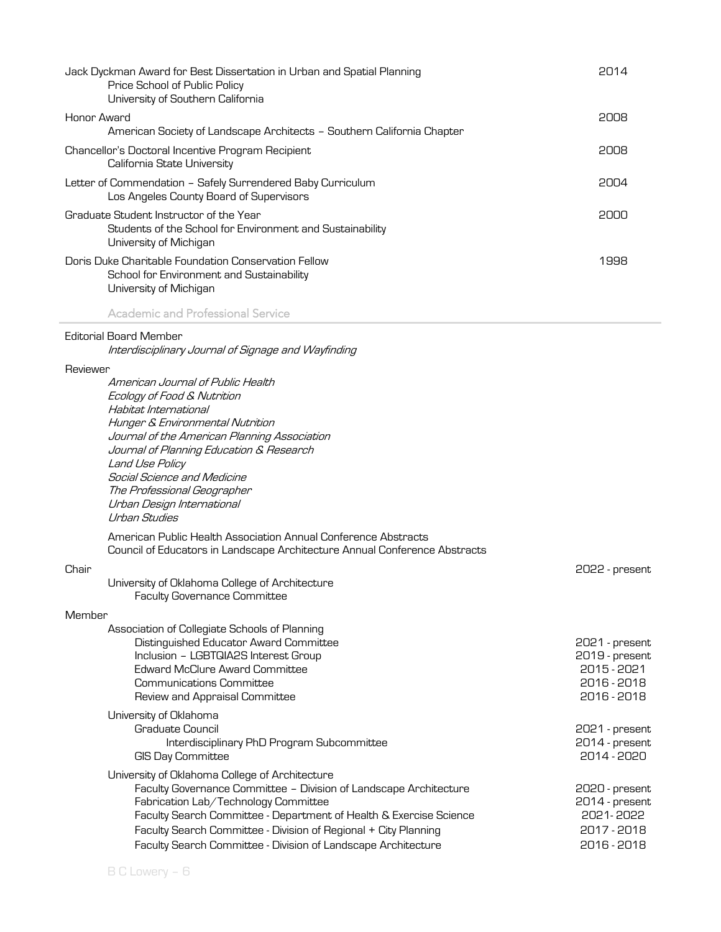| Jack Dyckman Award for Best Dissertation in Urban and Spatial Planning<br>Price School of Public Policy<br>University of Southern California                            | 2014 |
|-------------------------------------------------------------------------------------------------------------------------------------------------------------------------|------|
| Honor Award<br>American Society of Landscape Architects - Southern California Chapter                                                                                   | 2008 |
| Chancellor's Doctoral Incentive Program Recipient<br>California State University                                                                                        | 2008 |
| Letter of Commendation - Safely Surrendered Baby Curriculum<br>Los Angeles County Board of Supervisors                                                                  | 2004 |
| Graduate Student Instructor of the Year<br>Students of the School for Environment and Sustainability<br>University of Michigan                                          | 2000 |
| Doris Duke Charitable Foundation Conservation Fellow<br>School for Environment and Sustainability<br>University of Michigan<br><b>Academic and Professional Service</b> | 1998 |
|                                                                                                                                                                         |      |
| <b>Editorial Board Member</b><br>Interdisciplinary Journal of Signage and Wayfinding                                                                                    |      |
| Reviewer                                                                                                                                                                |      |
| American Journal of Public Health<br>Ecology of Food & Nutrition<br>Habitat International                                                                               |      |

| ., |
|----|

i.

| University of Oklahoma College of Architecture |  |
|------------------------------------------------|--|
| <b>Faculty Governance Committee</b>            |  |

American Public Health Association Annual Conference Abstracts

Council of Educators in Landscape Architecture Annual Conference Abstracts

Hunger & Environmental Nutrition

Social Science and Medicine The Professional Geographer Urban Design International

Land Use Policy

Urban Studies

Journal of the American Planning Association Journal of Planning Education & Research

### Member

| Distinguished Educator Award Committee                             | 2021 - present<br>2019 - present |
|--------------------------------------------------------------------|----------------------------------|
|                                                                    |                                  |
| Inclusion - LGBTQIA2S Interest Group                               |                                  |
| Edward McClure Award Committee                                     | 2015 - 2021                      |
| Communications Committee                                           | 2016 - 2018                      |
| Review and Appraisal Committee                                     | 2016 - 2018                      |
| University of Oklahoma                                             |                                  |
| Graduate Council                                                   | 2021 - present                   |
| Interdisciplinary PhD Program Subcommittee                         | 2014 - present                   |
| <b>GIS Day Committee</b>                                           | 2014 - 2020                      |
| University of Oklahoma College of Architecture                     |                                  |
| Faculty Governance Committee - Division of Landscape Architecture  | 2020 - present                   |
| Fabrication Lab/Technology Committee                               | 2014 - present                   |
| Faculty Search Committee - Department of Health & Exercise Science | 2021-2022                        |
| Faculty Search Committee - Division of Regional + City Planning    | 2017 - 2018                      |
| Faculty Search Committee - Division of Landscape Architecture      | 2016 - 2018                      |

2022 - present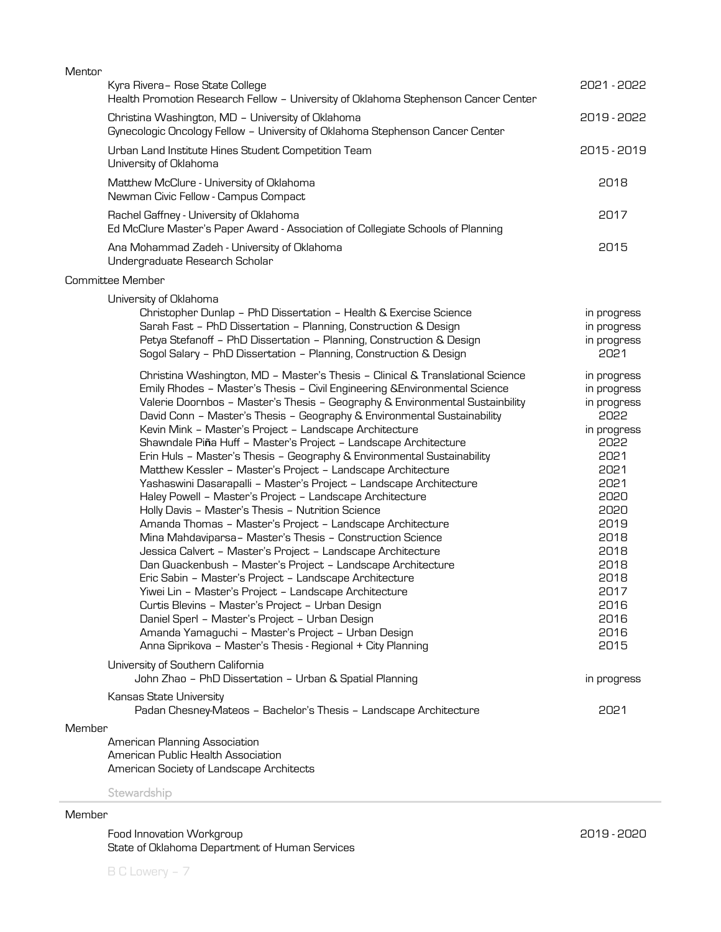| Mentor |                                                                                                                                                                                                                                                                                                                                                                                                                                                                                                                                                                                                                                                                                                                                                                                                                                                                                                                                                                                                                                                                                                                                                                                                                                                                                                                                                                                           |                                                                                                                                                                                                  |
|--------|-------------------------------------------------------------------------------------------------------------------------------------------------------------------------------------------------------------------------------------------------------------------------------------------------------------------------------------------------------------------------------------------------------------------------------------------------------------------------------------------------------------------------------------------------------------------------------------------------------------------------------------------------------------------------------------------------------------------------------------------------------------------------------------------------------------------------------------------------------------------------------------------------------------------------------------------------------------------------------------------------------------------------------------------------------------------------------------------------------------------------------------------------------------------------------------------------------------------------------------------------------------------------------------------------------------------------------------------------------------------------------------------|--------------------------------------------------------------------------------------------------------------------------------------------------------------------------------------------------|
|        | Kyra Rivera- Rose State College<br>Health Promotion Research Fellow - University of Oklahoma Stephenson Cancer Center                                                                                                                                                                                                                                                                                                                                                                                                                                                                                                                                                                                                                                                                                                                                                                                                                                                                                                                                                                                                                                                                                                                                                                                                                                                                     | 2021 - 2022                                                                                                                                                                                      |
|        | Christina Washington, MD - University of Oklahoma<br>Gynecologic Oncology Fellow - University of Oklahoma Stephenson Cancer Center                                                                                                                                                                                                                                                                                                                                                                                                                                                                                                                                                                                                                                                                                                                                                                                                                                                                                                                                                                                                                                                                                                                                                                                                                                                        | 2019 - 2022                                                                                                                                                                                      |
|        | Urban Land Institute Hines Student Competition Team<br>University of Oklahoma                                                                                                                                                                                                                                                                                                                                                                                                                                                                                                                                                                                                                                                                                                                                                                                                                                                                                                                                                                                                                                                                                                                                                                                                                                                                                                             | 2015 - 2019                                                                                                                                                                                      |
|        | Matthew McClure - University of Oklahoma<br>Newman Civic Fellow - Campus Compact                                                                                                                                                                                                                                                                                                                                                                                                                                                                                                                                                                                                                                                                                                                                                                                                                                                                                                                                                                                                                                                                                                                                                                                                                                                                                                          | 2018                                                                                                                                                                                             |
|        | Rachel Gaffney - University of Oklahoma<br>Ed McClure Master's Paper Award - Association of Collegiate Schools of Planning                                                                                                                                                                                                                                                                                                                                                                                                                                                                                                                                                                                                                                                                                                                                                                                                                                                                                                                                                                                                                                                                                                                                                                                                                                                                | 2017                                                                                                                                                                                             |
|        | Ana Mohammad Zadeh - University of Oklahoma<br>Undergraduate Research Scholar                                                                                                                                                                                                                                                                                                                                                                                                                                                                                                                                                                                                                                                                                                                                                                                                                                                                                                                                                                                                                                                                                                                                                                                                                                                                                                             | 2015                                                                                                                                                                                             |
|        | Committee Member                                                                                                                                                                                                                                                                                                                                                                                                                                                                                                                                                                                                                                                                                                                                                                                                                                                                                                                                                                                                                                                                                                                                                                                                                                                                                                                                                                          |                                                                                                                                                                                                  |
|        | University of Oklahoma<br>Christopher Dunlap - PhD Dissertation - Health & Exercise Science<br>Sarah Fast - PhD Dissertation - Planning, Construction & Design<br>Petya Stefanoff - PhD Dissertation - Planning, Construction & Design<br>Sogol Salary - PhD Dissertation - Planning, Construction & Design                                                                                                                                                                                                                                                                                                                                                                                                                                                                                                                                                                                                                                                                                                                                                                                                                                                                                                                                                                                                                                                                               | in progress<br>in progress<br>in progress<br>2021                                                                                                                                                |
|        | Christina Washington, MD - Master's Thesis - Clinical & Translational Science<br>Emily Rhodes - Master's Thesis - Civil Engineering & Environmental Science<br>Valerie Doornbos - Master's Thesis - Geography & Environmental Sustainbility<br>David Conn - Master's Thesis - Geography & Environmental Sustainability<br>Kevin Mink - Master's Project - Landscape Architecture<br>Shawndale Piña Huff - Master's Project - Landscape Architecture<br>Erin Huls - Master's Thesis - Geography & Environmental Sustainability<br>Matthew Kessler - Master's Project - Landscape Architecture<br>Yashaswini Dasarapalli - Master's Project - Landscape Architecture<br>Haley Powell - Master's Project - Landscape Architecture<br>Holly Davis - Master's Thesis - Nutrition Science<br>Amanda Thomas - Master's Project - Landscape Architecture<br>Mina Mahdaviparsa- Master's Thesis - Construction Science<br>Jessica Calvert - Master's Project - Landscape Architecture<br>Dan Quackenbush - Master's Project - Landscape Architecture<br>Eric Sabin - Master's Project - Landscape Architecture<br>Yiwei Lin - Master's Project - Landscape Architecture<br>Curtis Blevins - Master's Project - Urban Design<br>Daniel Sperl - Master's Project - Urban Design<br>Amanda Yamaguchi - Master's Project - Urban Design<br>Anna Siprikova - Master's Thesis - Regional + City Planning | in progress<br>in progress<br>in progress<br>2022<br>in progress<br>5055<br>2021<br>2021<br>2021<br>2020<br>2020<br>2019<br>2018<br>2018<br>2018<br>2018<br>2017<br>2016<br>2016<br>2016<br>2015 |
|        | University of Southern California<br>John Zhao - PhD Dissertation - Urban & Spatial Planning                                                                                                                                                                                                                                                                                                                                                                                                                                                                                                                                                                                                                                                                                                                                                                                                                                                                                                                                                                                                                                                                                                                                                                                                                                                                                              | in progress                                                                                                                                                                                      |
|        | Kansas State University<br>Padan Chesney-Mateos - Bachelor's Thesis - Landscape Architecture                                                                                                                                                                                                                                                                                                                                                                                                                                                                                                                                                                                                                                                                                                                                                                                                                                                                                                                                                                                                                                                                                                                                                                                                                                                                                              | 2021                                                                                                                                                                                             |
| Member |                                                                                                                                                                                                                                                                                                                                                                                                                                                                                                                                                                                                                                                                                                                                                                                                                                                                                                                                                                                                                                                                                                                                                                                                                                                                                                                                                                                           |                                                                                                                                                                                                  |
|        | American Planning Association<br>American Public Health Association<br>American Society of Landscape Architects                                                                                                                                                                                                                                                                                                                                                                                                                                                                                                                                                                                                                                                                                                                                                                                                                                                                                                                                                                                                                                                                                                                                                                                                                                                                           |                                                                                                                                                                                                  |
|        | Stewardship                                                                                                                                                                                                                                                                                                                                                                                                                                                                                                                                                                                                                                                                                                                                                                                                                                                                                                                                                                                                                                                                                                                                                                                                                                                                                                                                                                               |                                                                                                                                                                                                  |

Member

Food Innovation Workgroup State of Oklahoma Department of Human Services 2019 - 2020